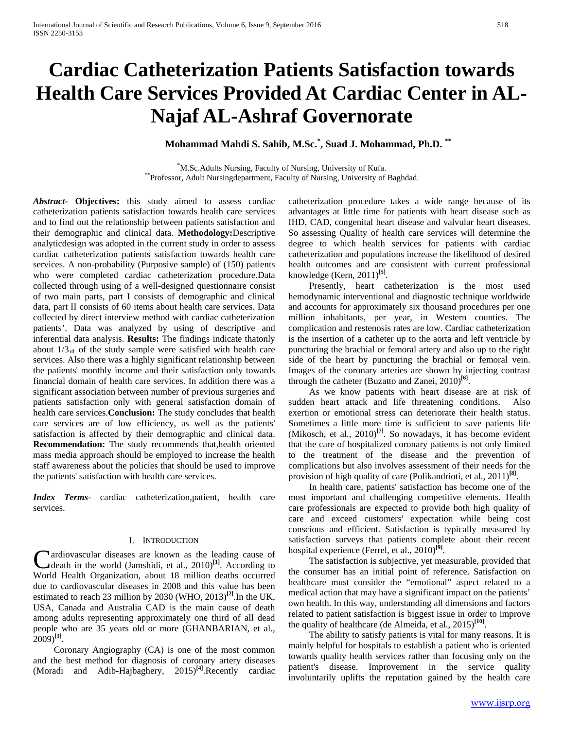# **Cardiac Catheterization Patients Satisfaction towards Health Care Services Provided At Cardiac Center in AL-Najaf AL-Ashraf Governorate**

# **Mohammad Mahdi S. Sahib, M.Sc.\* , Suad J. Mohammad, Ph.D. \*\***

<sup>\*</sup>M.Sc.Adults Nursing, Faculty of Nursing, University of Kufa. \*\*Professor, Adult Nursingdepartment, Faculty of Nursing, University of Baghdad.

*Abstract***- Objectives:** this study aimed to assess cardiac catheterization patients satisfaction towards health care services and to find out the relationship between patients satisfaction and their demographic and clinical data. **Methodology:**Descriptive analyticdesign was adopted in the current study in order to assess cardiac catheterization patients satisfaction towards health care services. A non-probability (Purposive sample) of (150) patients who were completed cardiac catheterization procedure.Data collected through using of a well-designed questionnaire consist of two main parts, part I consists of demographic and clinical data, part II consists of 60 items about health care services. Data collected by direct interview method with cardiac catheterization patients'. Data was analyzed by using of descriptive and inferential data analysis. **Results:** The findings indicate thatonly about  $1/3<sub>rd</sub>$  of the study sample were satisfied with health care services. Also there was a highly significant relationship between the patients' monthly income and their satisfaction only towards financial domain of health care services. In addition there was a significant association between number of previous surgeries and patients satisfaction only with general satisfaction domain of health care services.**Conclusion:** The study concludes that health care services are of low efficiency, as well as the patients' satisfaction is affected by their demographic and clinical data. **Recommendation:** The study recommends that,health oriented mass media approach should be employed to increase the health staff awareness about the policies that should be used to improve the patients' satisfaction with health care services.

*Index Terms*- cardiac catheterization,patient, health care services.

#### I. INTRODUCTION

ardiovascular diseases are known as the leading cause of **C** ardiovascular diseases are known as the leading cause of death in the world (Jamshidi, et al., 2010)<sup>[1]</sup>. According to World Health Organization, about 18 million deaths occurred due to cardiovascular diseases in 2008 and this value has been estimated to reach 23 million by 2030 (WHO, 2013)**[2]**.In the UK, USA, Canada and Australia CAD is the main cause of death among adults representing approximately one third of all dead people who are 35 years old or more (GHANBARIAN, et al., 2009)**[3]**.

 Coronary Angiography (CA) is one of the most common and the best method for diagnosis of coronary artery diseases (Moradi and Adib-Hajbaghery, 2015)**[4]**.Recently cardiac

catheterization procedure takes a wide range because of its advantages at little time for patients with heart disease such as IHD, CAD, congenital heart disease and valvular heart diseases. So assessing Quality of health care services will determine the degree to which health services for patients with cardiac catheterization and populations increase the likelihood of desired health outcomes and are consistent with current professional knowledge (Kern, 2011)**[5]**.

 Presently, heart catheterization is the most used hemodynamic interventional and diagnostic technique worldwide and accounts for approximately six thousand procedures per one million inhabitants, per year, in Western counties. The complication and restenosis rates are low. Cardiac catheterization is the insertion of a catheter up to the aorta and left ventricle by puncturing the brachial or femoral artery and also up to the right side of the heart by puncturing the brachial or femoral vein. Images of the coronary arteries are shown by injecting contrast through the catheter (Buzatto and Zanei, 2010)**[6]**.

 As we know patients with heart disease are at risk of sudden heart attack and life threatening conditions. Also exertion or emotional stress can deteriorate their health status. Sometimes a little more time is sufficient to save patients life (Mikosch, et al., 2010)**[7]**. So nowadays, it has become evident that the care of hospitalized coronary patients is not only limited to the treatment of the disease and the prevention of complications but also involves assessment of their needs for the provision of high quality of care (Polikandrioti, et al., 2011)**[8]**.

 In health care, patients' satisfaction has become one of the most important and challenging competitive elements. Health care professionals are expected to provide both high quality of care and exceed customers' expectation while being cost conscious and efficient. Satisfaction is typically measured by satisfaction surveys that patients complete about their recent hospital experience (Ferrel, et al., 2010)**[9]**.

 The satisfaction is subjective, yet measurable, provided that the consumer has an initial point of reference. Satisfaction on healthcare must consider the "emotional" aspect related to a medical action that may have a significant impact on the patients' own health. In this way, understanding all dimensions and factors related to patient satisfaction is biggest issue in order to improve the quality of healthcare (de Almeida, et al., 2015)**[10]**.

 The ability to satisfy patients is vital for many reasons. It is mainly helpful for hospitals to establish a patient who is oriented towards quality health services rather than focusing only on the patient's disease. Improvement in the service quality involuntarily uplifts the reputation gained by the health care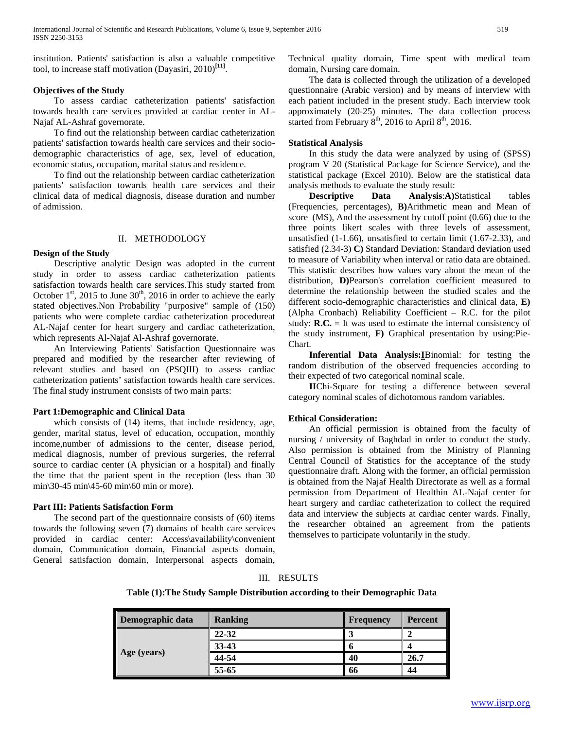institution. Patients' satisfaction is also a valuable competitive tool, to increase staff motivation (Dayasiri, 2010)**[11]**.

# **Objectives of the Study**

 To assess cardiac catheterization patients' satisfaction towards health care services provided at cardiac center in AL-Najaf AL-Ashraf governorate.

 To find out the relationship between cardiac catheterization patients' satisfaction towards health care services and their sociodemographic characteristics of age, sex, level of education, economic status, occupation, marital status and residence.

 To find out the relationship between cardiac catheterization patients' satisfaction towards health care services and their clinical data of medical diagnosis, disease duration and number of admission.

### II. METHODOLOGY

# **Design of the Study**

 Descriptive analytic Design was adopted in the current study in order to assess cardiac catheterization patients satisfaction towards health care services.This study started from October  $1<sup>st</sup>$ , 2015 to June  $30<sup>th</sup>$ , 2016 in order to achieve the early stated objectives.Non Probability "purposive" sample of (150) patients who were complete cardiac catheterization procedureat AL-Najaf center for heart surgery and cardiac catheterization, which represents Al-Najaf Al-Ashraf governorate.

 An Interviewing Patients' Satisfaction Questionnaire was prepared and modified by the researcher after reviewing of relevant studies and based on (PSQIII) to assess cardiac catheterization patients' satisfaction towards health care services. The final study instrument consists of two main parts:

# **Part 1:Demographic and Clinical Data**

which consists of  $(14)$  items, that include residency, age, gender, marital status, level of education, occupation, monthly income,number of admissions to the center, disease period, medical diagnosis, number of previous surgeries, the referral source to cardiac center (A physician or a hospital) and finally the time that the patient spent in the reception (less than 30 min\30-45 min\45-60 min\60 min or more).

# **Part III: Patients Satisfaction Form**

 The second part of the questionnaire consists of (60) items towards the following seven (7) domains of health care services provided in cardiac center: Access\availability\convenient domain, Communication domain, Financial aspects domain, General satisfaction domain, Interpersonal aspects domain,

Technical quality domain, Time spent with medical team domain, Nursing care domain.

 The data is collected through the utilization of a developed questionnaire (Arabic version) and by means of interview with each patient included in the present study. Each interview took approximately (20-25) minutes. The data collection process started from February  $8<sup>th</sup>$ , 2016 to April  $8<sup>th</sup>$ , 2016.

# **Statistical Analysis**

 In this study the data were analyzed by using of (SPSS) program V 20 (Statistical Package for Science Service), and the statistical package (Excel 2010). Below are the statistical data analysis methods to evaluate the study result:

 **Descriptive Data Analysis**:**A)**Statistical tables (Frequencies, percentages), **B)**Arithmetic mean and Mean of score–(MS), And the assessment by cutoff point (0.66) due to the three points likert scales with three levels of assessment, unsatisfied (1-1.66), unsatisfied to certain limit (1.67-2.33), and satisfied (2.34-3) **C)** Standard Deviation: Standard deviation used to measure of Variability when interval or ratio data are obtained. This statistic describes how values vary about the mean of the distribution, **D)**Pearson's correlation coefficient measured to determine the relationship between the studied scales and the different socio-demographic characteristics and clinical data, **E)**  (Alpha Cronbach) Reliability Coefficient – R.C. for the pilot study: **R.C. =** It was used to estimate the internal consistency of the study instrument, **F)** Graphical presentation by using:Pie-Chart.

 **Inferential Data Analysis:I**Binomial: for testing the random distribution of the observed frequencies according to their expected of two categorical nominal scale.

 **II**Chi-Square for testing a difference between several category nominal scales of dichotomous random variables.

# **Ethical Consideration:**

 An official permission is obtained from the faculty of nursing / university of Baghdad in order to conduct the study. Also permission is obtained from the Ministry of Planning Central Council of Statistics for the acceptance of the study questionnaire draft. Along with the former, an official permission is obtained from the Najaf Health Directorate as well as a formal permission from Department of Healthin AL-Najaf center for heart surgery and cardiac catheterization to collect the required data and interview the subjects at cardiac center wards. Finally, the researcher obtained an agreement from the patients themselves to participate voluntarily in the study.

#### III. RESULTS

**Table (1):The Study Sample Distribution according to their Demographic Data**

| Demographic data | <b>Ranking</b> | <b>Frequency</b> | Percent |  |
|------------------|----------------|------------------|---------|--|
| Age (years)      | 22-32          |                  |         |  |
|                  | 33-43          |                  |         |  |
|                  | 44-54          | 40               | 26.7    |  |
|                  | 55-65          | 66               | 44      |  |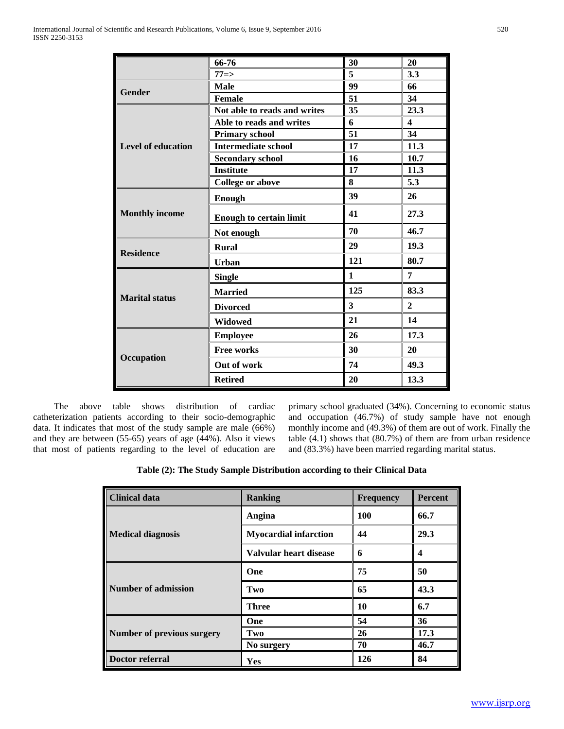|                           | 66-76                          | 30           | 20             |
|---------------------------|--------------------------------|--------------|----------------|
|                           | $77 = >$                       | 5            | 3.3            |
| <b>Gender</b>             | <b>Male</b>                    | 99           | 66             |
|                           | Female                         | 51           | 34             |
|                           | Not able to reads and writes   | 35           | 23.3           |
|                           | Able to reads and writes       | 6            | 4              |
|                           | <b>Primary school</b>          | 51           | 34             |
| <b>Level of education</b> | <b>Intermediate school</b>     | 17           | 11.3           |
|                           | <b>Secondary school</b>        | 16           | 10.7           |
|                           | <b>Institute</b>               | 17           | 11.3           |
|                           | <b>College or above</b>        | 8            | 5.3            |
|                           | <b>Enough</b>                  | 39           | 26             |
| <b>Monthly income</b>     | <b>Enough to certain limit</b> | 41           | 27.3           |
|                           | Not enough                     | 70           | 46.7           |
| <b>Residence</b>          | <b>Rural</b>                   | 29           | 19.3           |
|                           | <b>Urban</b>                   | 121          | 80.7           |
|                           | <b>Single</b>                  | $\mathbf{1}$ | 7              |
| <b>Marital status</b>     | <b>Married</b>                 | 125          | 83.3           |
|                           | <b>Divorced</b>                | 3            | $\overline{2}$ |
|                           | Widowed                        | 21           | 14             |
|                           | <b>Employee</b>                | 26           | 17.3           |
| Occupation                | <b>Free works</b>              | 30           | 20             |
|                           | Out of work                    | 74           | 49.3           |
|                           | <b>Retired</b>                 | 20           | 13.3           |

 The above table shows distribution of cardiac catheterization patients according to their socio-demographic data. It indicates that most of the study sample are male (66%) and they are between (55-65) years of age (44%). Also it views that most of patients regarding to the level of education are primary school graduated (34%). Concerning to economic status and occupation (46.7%) of study sample have not enough monthly income and (49.3%) of them are out of work. Finally the table (4.1) shows that (80.7%) of them are from urban residence and (83.3%) have been married regarding marital status.

|  | Table (2): The Study Sample Distribution according to their Clinical Data |  |  |
|--|---------------------------------------------------------------------------|--|--|
|--|---------------------------------------------------------------------------|--|--|

| <b>Clinical data</b>       | <b>Ranking</b>               | <b>Frequency</b> | <b>Percent</b> |
|----------------------------|------------------------------|------------------|----------------|
|                            | Angina                       | 100              | 66.7           |
| <b>Medical diagnosis</b>   | <b>Myocardial infarction</b> | 44               | 29.3           |
|                            | Valvular heart disease       | 6                | 4              |
|                            | One                          | 75               | 50             |
| Number of admission        | Two                          | 65               | 43.3           |
|                            | <b>Three</b>                 | 10               | 6.7            |
|                            | One                          | 54               | 36             |
| Number of previous surgery | Two                          | 26               | 17.3           |
|                            | No surgery                   | 70               | 46.7           |
| Doctor referral            | Yes                          | 126              | 84             |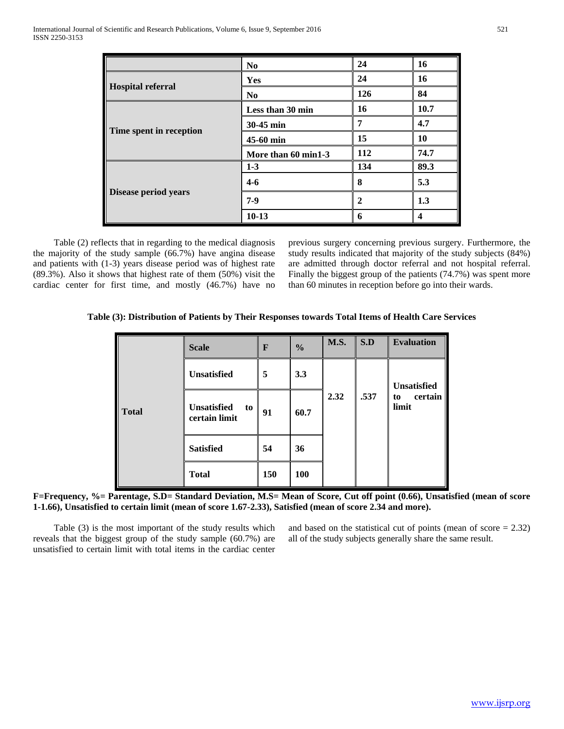|                          | N <sub>0</sub>      | 24  | 16   |
|--------------------------|---------------------|-----|------|
| <b>Hospital referral</b> | <b>Yes</b>          | 24  | 16   |
|                          | N <sub>0</sub>      | 126 | 84   |
| Time spent in reception  | Less than 30 min    | 16  | 10.7 |
|                          | 30-45 min           | 7   | 4.7  |
|                          | 45-60 min           | 15  | 10   |
|                          | More than 60 min1-3 | 112 | 74.7 |
|                          | $1-3$               | 134 | 89.3 |
| Disease period years     | $4 - 6$             | 8   | 5.3  |
|                          | $7-9$               | 2   | 1.3  |
|                          | $10-13$             | 6   | 4    |

 Table (2) reflects that in regarding to the medical diagnosis the majority of the study sample (66.7%) have angina disease and patients with (1-3) years disease period was of highest rate (89.3%). Also it shows that highest rate of them (50%) visit the cardiac center for first time, and mostly (46.7%) have no previous surgery concerning previous surgery. Furthermore, the study results indicated that majority of the study subjects (84%) are admitted through doctor referral and not hospital referral. Finally the biggest group of the patients (74.7%) was spent more than 60 minutes in reception before go into their wards.

**Table (3): Distribution of Patients by Their Responses towards Total Items of Health Care Services**

|              | <b>Scale</b>                       | F   | $\frac{0}{0}$ | <b>M.S.</b> | S.D  | <b>Evaluation</b>      |  |
|--------------|------------------------------------|-----|---------------|-------------|------|------------------------|--|
| <b>Total</b> | <b>Unsatisfied</b>                 | 5   | 3.3           |             |      | <b>Unsatisfied</b>     |  |
|              | Unsatisfied<br>to<br>certain limit | 91  | 60.7          | 2.32        | .537 | certain<br>to<br>limit |  |
|              | <b>Satisfied</b>                   | 54  | 36            |             |      |                        |  |
|              | <b>Total</b>                       | 150 | <b>100</b>    |             |      |                        |  |

**F=Frequency, %= Parentage, S.D= Standard Deviation, M.S= Mean of Score, Cut off point (0.66), Unsatisfied (mean of score 1-1.66), Unsatisfied to certain limit (mean of score 1.67-2.33), Satisfied (mean of score 2.34 and more).**

 Table (3) is the most important of the study results which reveals that the biggest group of the study sample (60.7%) are unsatisfied to certain limit with total items in the cardiac center

and based on the statistical cut of points (mean of score  $= 2.32$ ) all of the study subjects generally share the same result.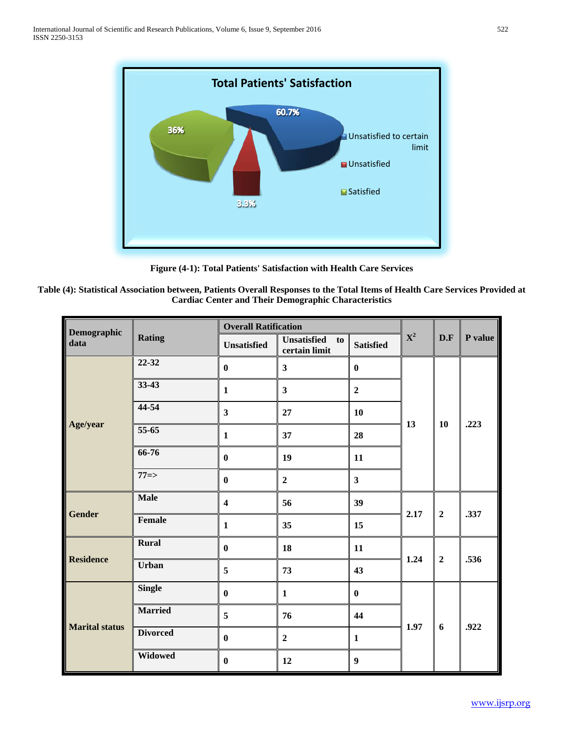

**Figure (4-1): Total Patients' Satisfaction with Health Care Services**

| Table (4): Statistical Association between, Patients Overall Responses to the Total Items of Health Care Services Provided at |
|-------------------------------------------------------------------------------------------------------------------------------|
| <b>Cardiac Center and Their Demographic Characteristics</b>                                                                   |

| Demographic           |                 | <b>Overall Ratification</b> |                                           |                  |                |                |         |
|-----------------------|-----------------|-----------------------------|-------------------------------------------|------------------|----------------|----------------|---------|
| data                  | <b>Rating</b>   | <b>Unsatisfied</b>          | <b>Unsatisfied</b><br>to<br>certain limit | <b>Satisfied</b> | $\mathbf{X}^2$ | D.F            | P value |
|                       | 22-32           | $\bf{0}$                    | $\overline{\mathbf{3}}$                   | $\pmb{0}$        |                |                |         |
|                       | 33-43           | $\mathbf{1}$                | $\overline{\mathbf{3}}$                   | $\overline{2}$   |                |                |         |
|                       | 44-54           | $\overline{\mathbf{3}}$     | 27                                        | 10               |                |                | .223    |
| Age/year              | 55-65           | $\mathbf{1}$                | 37                                        | 28               | 13             | 10             |         |
|                       | 66-76           | $\bf{0}$                    | 19                                        | 11               |                |                |         |
|                       | $77 = >$        | $\bf{0}$                    | $\overline{2}$                            | $\mathbf{3}$     |                |                |         |
|                       | <b>Male</b>     | $\overline{\mathbf{4}}$     | 56                                        | 39               | 2.17           | $\overline{2}$ | .337    |
| <b>Gender</b>         | <b>Female</b>   | $\mathbf{1}$                | 35                                        | 15               |                |                |         |
| <b>Residence</b>      | <b>Rural</b>    | $\bf{0}$                    | 18                                        | 11               |                | $\overline{2}$ | .536    |
|                       | <b>Urban</b>    | 5                           | 73                                        | 43               | 1.24           |                |         |
|                       | <b>Single</b>   | $\bf{0}$                    | $\mathbf{1}$                              | $\bf{0}$         |                |                |         |
| <b>Marital status</b> | <b>Married</b>  | 5                           | 76                                        | 44               |                | 6              |         |
|                       | <b>Divorced</b> | $\bf{0}$                    | $\overline{2}$                            | $\mathbf{1}$     | 1.97           |                | .922    |
|                       | Widowed         | $\bf{0}$                    | 12                                        | $\boldsymbol{9}$ |                |                |         |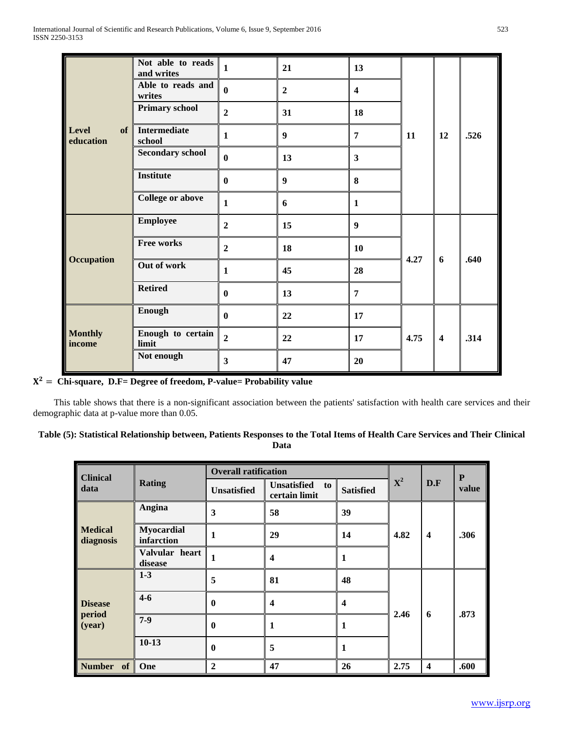|                                 | Not able to reads<br>and writes | $\mathbf{1}$     | 21               | 13                      |      |                         |      |
|---------------------------------|---------------------------------|------------------|------------------|-------------------------|------|-------------------------|------|
| <b>Level</b><br>of<br>education | Able to reads and<br>writes     | $\bf{0}$         | $\boldsymbol{2}$ | $\overline{\mathbf{4}}$ |      |                         |      |
|                                 | <b>Primary school</b>           | $\overline{2}$   | 31               | 18                      |      |                         |      |
|                                 | <b>Intermediate</b><br>school   | $\mathbf{1}$     | $\boldsymbol{9}$ | $\overline{7}$          | 11   | 12                      | .526 |
|                                 | <b>Secondary school</b>         | $\bf{0}$         | 13               | $\mathbf{3}$            |      |                         |      |
|                                 | <b>Institute</b>                | $\mathbf{0}$     | 9                | 8                       |      |                         |      |
|                                 | <b>College or above</b>         | $\mathbf{1}$     | 6                | $\mathbf{1}$            |      |                         |      |
|                                 | <b>Employee</b>                 | $\boldsymbol{2}$ | 15               | $\boldsymbol{9}$        |      | 6                       | .640 |
| <b>Occupation</b>               | <b>Free works</b>               | $\overline{2}$   | 18               | 10                      | 4.27 |                         |      |
|                                 | Out of work                     | $\mathbf{1}$     | 45               | 28                      |      |                         |      |
|                                 | <b>Retired</b>                  | $\bf{0}$         | 13               | $\overline{7}$          |      |                         |      |
| <b>Monthly</b><br>income        | <b>Enough</b>                   | $\bf{0}$         | 22               | 17                      |      |                         |      |
|                                 | Enough to certain<br>limit      | $\overline{2}$   | 22               | 17                      | 4.75 | $\overline{\mathbf{4}}$ | .314 |
|                                 | Not enough                      | 3                | 47               | 20                      |      |                         |      |

= **Chi-square, D.F= Degree of freedom, P-value= Probability value**

 This table shows that there is a non-significant association between the patients' satisfaction with health care services and their demographic data at p-value more than 0.05.

| Table (5): Statistical Relationship between, Patients Responses to the Total Items of Health Care Services and Their Clinical |  |
|-------------------------------------------------------------------------------------------------------------------------------|--|
| Data                                                                                                                          |  |

| <b>Clinical</b>             |                                 | <b>Overall ratification</b> |                                           |                         |                |                         | ${\bf P}$ |
|-----------------------------|---------------------------------|-----------------------------|-------------------------------------------|-------------------------|----------------|-------------------------|-----------|
| data                        | <b>Rating</b>                   | <b>Unsatisfied</b>          | <b>Unsatisfied</b><br>to<br>certain limit | <b>Satisfied</b>        | $\mathbf{X}^2$ | D.F                     | value     |
|                             | Angina                          | 3                           | 58                                        | 39                      |                | $\overline{\mathbf{4}}$ | .306      |
| <b>Medical</b><br>diagnosis | <b>Myocardial</b><br>infarction | 1                           | 29                                        | 14                      | 4.82           |                         |           |
|                             | Valvular heart<br>disease       | $\mathbf{1}$                | $\boldsymbol{4}$                          | 1                       |                |                         |           |
|                             | $1 - 3$                         | 5                           | 81                                        | 48                      |                | 6                       | .873      |
| <b>Disease</b>              | $4 - 6$                         | $\mathbf{0}$                | $\boldsymbol{4}$                          | $\overline{\mathbf{4}}$ | 2.46           |                         |           |
| period<br>(year)            | $7-9$                           | $\mathbf{0}$                | 1                                         | 1                       |                |                         |           |
|                             | $10-13$                         | $\mathbf 0$                 | 5                                         | 1                       |                |                         |           |
| Number of                   | One                             | $\overline{2}$              | 47                                        | 26                      | 2.75           | $\overline{\mathbf{4}}$ | .600      |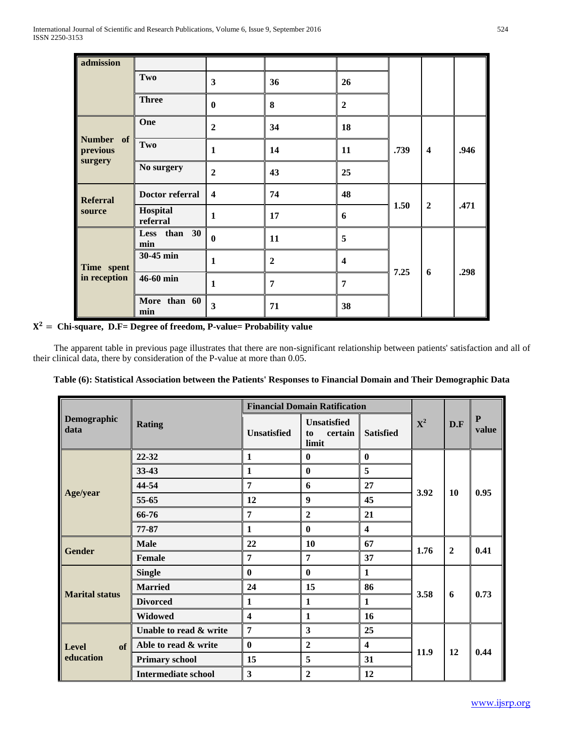| admission                  |                      |                         |                |                         |      |                         |      |
|----------------------------|----------------------|-------------------------|----------------|-------------------------|------|-------------------------|------|
|                            | Two                  | $\mathbf{3}$            | 36             | 26                      |      |                         |      |
|                            | <b>Three</b>         | $\mathbf{0}$            | 8              | $\overline{2}$          |      |                         |      |
|                            | One                  | $\overline{2}$          | 34             | 18                      |      | $\overline{\mathbf{4}}$ | .946 |
| Number of<br>previous      | Two                  | $\mathbf{1}$            | 14             | 11                      | .739 |                         |      |
| surgery                    | No surgery           | $\overline{2}$          | 43             | 25                      |      |                         |      |
| <b>Referral</b>            | Doctor referral      | $\overline{\mathbf{4}}$ | 74             | 48                      |      | $\overline{2}$          | .471 |
| source                     | Hospital<br>referral | $\mathbf{1}$            | 17             | 6                       | 1.50 |                         |      |
|                            | Less than 30<br>min  | $\bf{0}$                | 11             | 5                       |      |                         | .298 |
| Time spent<br>in reception | 30-45 min            | $\mathbf{1}$            | $\overline{2}$ | $\overline{\mathbf{4}}$ | 7.25 |                         |      |
|                            | 46-60 min            | $\mathbf{1}$            | 7              | $\overline{7}$          |      | 6                       |      |
|                            | More than 60<br>min  | $\overline{\mathbf{3}}$ | 71             | 38                      |      |                         |      |

# = **Chi-square, D.F= Degree of freedom, P-value= Probability value**

 The apparent table in previous page illustrates that there are non-significant relationship between patients' satisfaction and all of their clinical data, there by consideration of the P-value at more than 0.05.

|  | Table (6): Statistical Association between the Patients' Responses to Financial Domain and Their Demographic Data |  |  |  |  |
|--|-------------------------------------------------------------------------------------------------------------------|--|--|--|--|
|  |                                                                                                                   |  |  |  |  |

| Demographic<br>data   |                            | <b>Financial Domain Ratification</b> |                                              |                         |             |                |                    |
|-----------------------|----------------------------|--------------------------------------|----------------------------------------------|-------------------------|-------------|----------------|--------------------|
|                       | <b>Rating</b>              | <b>Unsatisfied</b>                   | <b>Unsatisfied</b><br>certain<br>to<br>limit | <b>Satisfied</b>        | ${\bf X}^2$ | D.F            | ${\bf P}$<br>value |
|                       | 22-32                      | $\mathbf{1}$                         | $\boldsymbol{0}$                             | $\boldsymbol{0}$        |             | 10             | 0.95               |
|                       | 33-43                      | $\mathbf{1}$                         | $\bf{0}$                                     | 5                       |             |                |                    |
|                       | 44-54                      | 7                                    | 6                                            | 27                      | 3.92        |                |                    |
| Age/year              | 55-65                      | 12                                   | 9                                            | 45                      |             |                |                    |
|                       | 66-76                      | 7                                    | $\overline{2}$                               | 21                      |             |                |                    |
|                       | 77-87                      | $\mathbf{1}$                         | $\bf{0}$                                     | $\overline{\mathbf{4}}$ |             |                |                    |
|                       | <b>Male</b>                | 22                                   | 10                                           | 67                      | 1.76        | $\overline{2}$ | 0.41               |
| <b>Gender</b>         | Female                     | $\overline{7}$                       | 7                                            | 37                      |             |                |                    |
|                       | <b>Single</b>              | $\bf{0}$                             | $\bf{0}$                                     | $\mathbf{1}$            |             | 6              | 0.73               |
|                       | <b>Married</b>             | 24                                   | 15                                           | 86                      | 3.58        |                |                    |
| <b>Marital status</b> | <b>Divorced</b>            | $\mathbf{1}$                         | $\mathbf{1}$                                 | $\mathbf{1}$            |             |                |                    |
|                       | <b>Widowed</b>             | $\overline{\mathbf{4}}$              | $\mathbf{1}$                                 | 16                      |             |                |                    |
|                       | Unable to read & write     | 7                                    | $\mathbf{3}$                                 | 25                      |             | 12             |                    |
| <b>Level</b><br>of    | Able to read & write       | $\bf{0}$                             | $\boldsymbol{2}$                             | $\overline{\mathbf{4}}$ |             |                |                    |
| education             | <b>Primary school</b>      | 15                                   | 5                                            | 31                      | 11.9        |                | 0.44               |
|                       | <b>Intermediate school</b> | 3                                    | $\overline{2}$                               | 12                      |             |                |                    |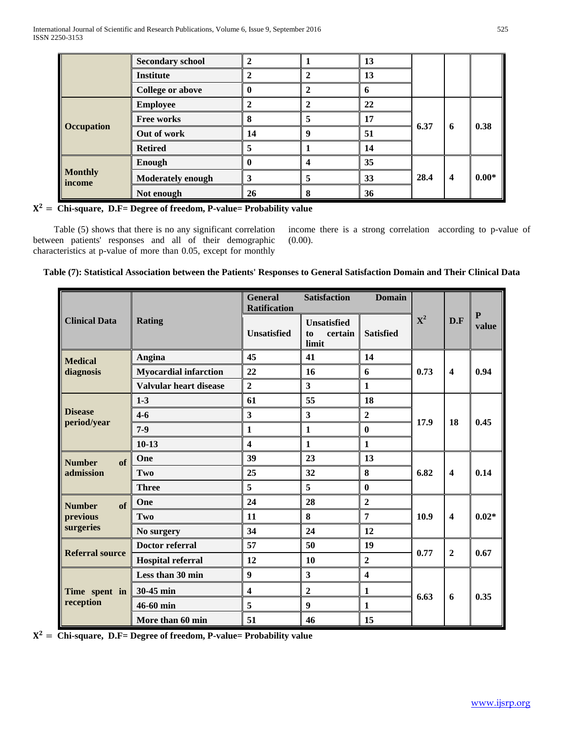|                          | <b>Secondary school</b>  |    |   | 13 |      |                         |         |
|--------------------------|--------------------------|----|---|----|------|-------------------------|---------|
|                          | <b>Institute</b>         |    |   | 13 |      |                         |         |
|                          | <b>College or above</b>  |    |   |    |      |                         |         |
|                          | <b>Employee</b>          |    |   | 22 | 6.37 | 6                       | 0.38    |
|                          | <b>Free works</b>        | o  |   | 17 |      |                         |         |
| Occupation               | Out of work              | 14 | 0 | 51 |      |                         |         |
|                          | <b>Retired</b>           |    |   | 14 |      |                         |         |
| <b>Monthly</b><br>income | Enough                   |    |   | 35 | 28.4 | $\overline{\mathbf{4}}$ | $0.00*$ |
|                          | <b>Moderately enough</b> | э  |   | 33 |      |                         |         |
|                          | Not enough               | 26 |   | 36 |      |                         |         |

= **Chi-square, D.F= Degree of freedom, P-value= Probability value** 

 Table (5) shows that there is no any significant correlation between patients' responses and all of their demographic characteristics at p-value of more than 0.05, except for monthly

income there is a strong correlation according to p-value of (0.00).

# **Table (7): Statistical Association between the Patients' Responses to General Satisfaction Domain and Their Clinical Data**

|                        |                              | <b>General</b><br><b>Satisfaction</b><br><b>Domain</b><br><b>Ratification</b> |                                              |                         |             |                         |                    |
|------------------------|------------------------------|-------------------------------------------------------------------------------|----------------------------------------------|-------------------------|-------------|-------------------------|--------------------|
| <b>Clinical Data</b>   | <b>Rating</b>                | <b>Unsatisfied</b>                                                            | <b>Unsatisfied</b><br>certain<br>to<br>limit | <b>Satisfied</b>        | ${\bf X}^2$ | D.F                     | ${\bf P}$<br>value |
| <b>Medical</b>         | Angina                       | 45                                                                            | 41                                           | 14                      | 0.73        | $\overline{\mathbf{4}}$ | 0.94               |
| diagnosis              | <b>Myocardial infarction</b> | 22                                                                            | 16                                           | 6                       |             |                         |                    |
|                        | Valvular heart disease       | $\overline{2}$                                                                | $\overline{\mathbf{3}}$                      | $\mathbf{1}$            |             |                         |                    |
|                        | $1-3$                        | 61                                                                            | 55                                           | 18                      | 17.9        | 18                      | 0.45               |
| <b>Disease</b>         | $4 - 6$                      | $\overline{\mathbf{3}}$                                                       | $\mathbf{3}$                                 | $\overline{2}$          |             |                         |                    |
| period/year            | $7-9$                        | $\mathbf{1}$                                                                  | $\mathbf{1}$                                 | $\bf{0}$                |             |                         |                    |
|                        | $10-13$                      | $\overline{\mathbf{4}}$                                                       | $\mathbf{1}$                                 | $\mathbf{1}$            |             |                         |                    |
| of<br><b>Number</b>    | One                          | 39                                                                            | 23                                           | 13                      | 6.82        | $\overline{\mathbf{4}}$ | 0.14               |
| admission              | Two                          | 25                                                                            | 32                                           | 8                       |             |                         |                    |
|                        | <b>Three</b>                 | 5                                                                             | 5                                            | $\bf{0}$                |             |                         |                    |
| of<br><b>Number</b>    | One                          | 24                                                                            | 28                                           | $\overline{2}$          | 10.9        | $\overline{\mathbf{4}}$ | $0.02*$            |
| previous               | Two                          | <b>11</b>                                                                     | 8                                            | $\overline{7}$          |             |                         |                    |
| surgeries              | No surgery                   | 34                                                                            | 24                                           | 12                      |             |                         |                    |
| <b>Referral source</b> | <b>Doctor referral</b>       | 57                                                                            | 50                                           | 19                      | 0.77        | $\overline{2}$          | 0.67               |
|                        | <b>Hospital referral</b>     | 12                                                                            | 10                                           | $\boldsymbol{2}$        |             |                         |                    |
|                        | Less than 30 min             | $\boldsymbol{9}$                                                              | $\overline{\mathbf{3}}$                      | $\overline{\mathbf{4}}$ | 6.63        | 6                       | 0.35               |
| Time spent in          | 30-45 min                    | $\overline{\mathbf{4}}$                                                       | $\overline{2}$                               | 1                       |             |                         |                    |
| reception              | 46-60 min                    | 5                                                                             | 9                                            | $\mathbf{1}$            |             |                         |                    |
|                        | More than 60 min             | 51                                                                            | 46                                           | 15                      |             |                         |                    |

= **Chi-square, D.F= Degree of freedom, P-value= Probability value**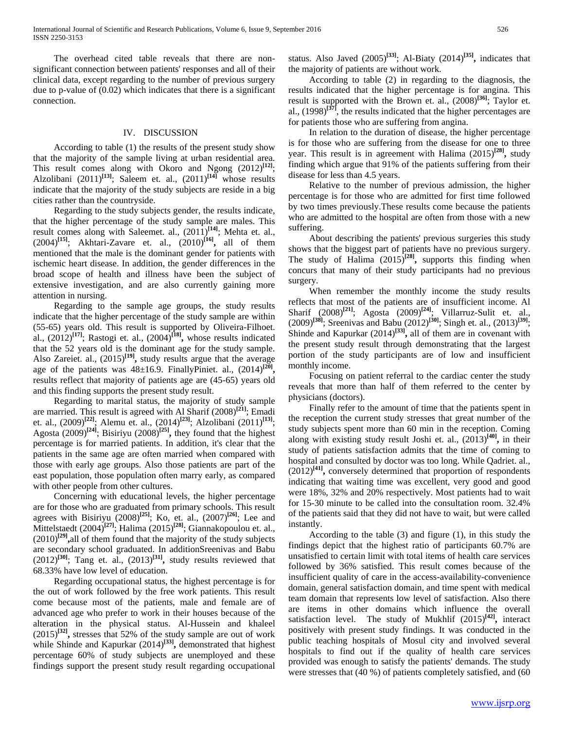The overhead cited table reveals that there are nonsignificant connection between patients' responses and all of their clinical data, except regarding to the number of previous surgery due to p-value of (0.02) which indicates that there is a significant connection.

#### IV. DISCUSSION

 According to table (1) the results of the present study show that the majority of the sample living at urban residential area. This result comes along with Okoro and Ngong (2012)**[12]**; Alzolibani (2011)**[13]**; Saleem et. al., (2011)**[14]** whose results indicate that the majority of the study subjects are reside in a big cities rather than the countryside.

 Regarding to the study subjects gender, the results indicate, that the higher percentage of the study sample are males. This result comes along with Saleemet. al., (2011)**[14]**; Mehta et. al., (2004)**[15]**; Akhtari-Zavare et. al., (2010)**[16],** all of them mentioned that the male is the dominant gender for patients with ischemic heart disease. In addition, the gender differences in the broad scope of health and illness have been the subject of extensive investigation, and are also currently gaining more attention in nursing.

 Regarding to the sample age groups, the study results indicate that the higher percentage of the study sample are within (55-65) years old. This result is supported by Oliveira-Filhoet. al.,  $(2012)^{[17]}$ ; Rastogi et. al.,  $(2004)^{[18]}$ , whose results indicated that the 52 years old is the dominant age for the study sample. Also Zareiet. al.,  $(2015)^{[19]}$ , study results argue that the average age of the patients was  $48\pm16.9$ . FinallyPiniet. al.,  $(2014)^{[20]}$ , results reflect that majority of patients age are (45-65) years old and this finding supports the present study result.

 Regarding to marital status, the majority of study sample are married. This result is agreed with Al Sharif (2008)<sup>[21]</sup>; Emadi et. al., (2009)<sup>[22]</sup><sup>*P*</sup>; Alemu et. al., (2014)<sup>[23]</sup><sup>*P*</sup>; Alzolibani (2011)<sup>[13]</sup><sup>*P*</sup></sup> Agosta  $(2009)^{[24]}$ ; Bisiriyu  $(2008)^{[25]}$ , they found that the highest percentage is for married patients. In addition, it's clear that the patients in the same age are often married when compared with those with early age groups. Also those patients are part of the east population, those population often marry early, as compared with other people from other cultures.

 Concerning with educational levels, the higher percentage are for those who are graduated from primary schools. This result agrees with Bisiriyu (2008)<sup>[25]</sup>; Ko, et. al., (2007)<sup>[26]</sup>; Lee and Mittelstaedt (2004)<sup>[27]</sup>; Halima (2015)<sup>[28]</sup>; Giannakopoulou et. al.,  $(2010)^{[29]}$ , all of them found that the majority of the study subjects are secondary school graduated. In additionSreenivas and Babu  $(2012)^{[30]}$ ; Tang et. al.,  $(2013)^{[31]}$ , study results reviewed that 68.33% have low level of education.

 Regarding occupational status, the highest percentage is for the out of work followed by the free work patients. This result come because most of the patients, male and female are of advanced age who prefer to work in their houses because of the alteration in the physical status. Al-Hussein and khaleel  $(2015)^{[32]}$ , stresses that 52% of the study sample are out of work while Shinde and Kapurkar  $(2014)^{[33]}$ , demonstrated that highest percentage 60% of study subjects are unemployed and these findings support the present study result regarding occupational

status. Also Javed  $(2005)^{[33]}$ ; Al-Biaty  $(2014)^{[35]}$ , indicates that the majority of patients are without work.

 According to table (2) in regarding to the diagnosis, the results indicated that the higher percentage is for angina. This result is supported with the Brown et. al.,  $(2008)^{[36]}$ ; Taylor et. al., (1998)<sup>[37]</sup>, the results indicated that the higher percentages are for patients those who are suffering from angina.

 In relation to the duration of disease, the higher percentage is for those who are suffering from the disease for one to three year. This result is in agreement with Halima  $(2015)^{28}$ , study finding which argue that 91% of the patients suffering from their disease for less than 4.5 years.

 Relative to the number of previous admission, the higher percentage is for those who are admitted for first time followed by two times previously.These results come because the patients who are admitted to the hospital are often from those with a new suffering.

 About describing the patients' previous surgeries this study shows that the biggest part of patients have no previous surgery. The study of Halima  $(2015)^{28}$ , supports this finding when concurs that many of their study participants had no previous surgery.

 When remember the monthly income the study results reflects that most of the patients are of insufficient income. Al Sharif (2008)<sup>[21]</sup>; Agosta (2009)<sup>[24]</sup>; Villarruz-Sulit et. al., (2009)<sup>[38]</sup>; Sreenivas and Babu (2012)<sup>[30]</sup>; Singh et. al., (2013)<sup>[39]</sup>; Shinde and Kapurkar  $(2014)^{[33]}$ , all of them are in covenant with the present study result through demonstrating that the largest portion of the study participants are of low and insufficient monthly income.

 Focusing on patient referral to the cardiac center the study reveals that more than half of them referred to the center by physicians (doctors).

 Finally refer to the amount of time that the patients spent in the reception the current study stresses that great number of the study subjects spent more than 60 min in the reception. Coming along with existing study result Joshi et. al.,  $(2013)^{[40]}$ *,* in their study of patients satisfaction admits that the time of coming to hospital and consulted by doctor was too long. While Qadriet. al.,  $(2012)^{[41]}$ , conversely determined that proportion of respondents indicating that waiting time was excellent, very good and good were 18%, 32% and 20% respectively. Most patients had to wait for 15-30 minute to be called into the consultation room. 32.4% of the patients said that they did not have to wait, but were called instantly.

 According to the table (3) and figure (1), in this study the findings depict that the highest ratio of participants 60.7% are unsatisfied to certain limit with total items of health care services followed by 36% satisfied. This result comes because of the insufficient quality of care in the access-availability-convenience domain, general satisfaction domain, and time spent with medical team domain that represents low level of satisfaction. Also there are items in other domains which influence the overall satisfaction level. The study of Mukhlif  $(2015)^{[42]}$ , interact positively with present study findings. It was conducted in the public teaching hospitals of Mosul city and involved several hospitals to find out if the quality of health care services provided was enough to satisfy the patients' demands. The study were stresses that (40 %) of patients completely satisfied, and (60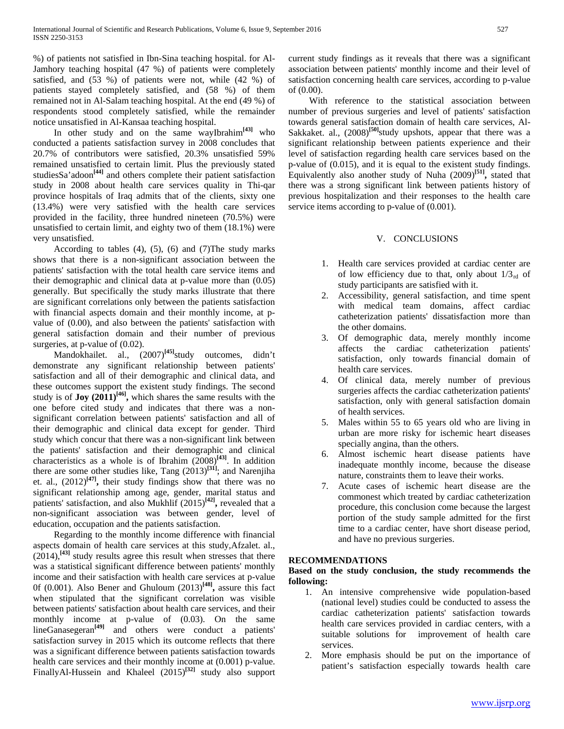%) of patients not satisfied in Ibn-Sina teaching hospital. for Al-Jamhory teaching hospital (47 %) of patients were completely satisfied, and (53 %) of patients were not, while (42 %) of patients stayed completely satisfied, and (58 %) of them remained not in Al-Salam teaching hospital. At the end (49 %) of respondents stood completely satisfied, while the remainder notice unsatisfied in Al-Kansaa teaching hospital.

 In other study and on the same wayIbrahim**[43]** who conducted a patients satisfaction survey in 2008 concludes that 20.7% of contributors were satisfied, 20.3% unsatisfied 59% remained unsatisfied to certain limit. Plus the previously stated studiesSa'adoon**[44]** and others complete their patient satisfaction study in 2008 about health care services quality in Thi-qar province hospitals of Iraq admits that of the clients, sixty one (13.4%) were very satisfied with the health care services provided in the facility, three hundred nineteen (70.5%) were unsatisfied to certain limit, and eighty two of them (18.1%) were very unsatisfied.

According to tables  $(4)$ ,  $(5)$ ,  $(6)$  and  $(7)$ The study marks shows that there is a non-significant association between the patients' satisfaction with the total health care service items and their demographic and clinical data at p-value more than (0.05) generally. But specifically the study marks illustrate that there are significant correlations only between the patients satisfaction with financial aspects domain and their monthly income, at pvalue of (0.00), and also between the patients' satisfaction with general satisfaction domain and their number of previous surgeries, at p-value of  $(0.02)$ .

 Mandokhailet. al., (2007)**[45]**study outcomes, didn't demonstrate any significant relationship between patients' satisfaction and all of their demographic and clinical data, and these outcomes support the existent study findings. The second study is of **Joy** (2011)<sup>[46]</sup>, which shares the same results with the one before cited study and indicates that there was a nonsignificant correlation between patients' satisfaction and all of their demographic and clinical data except for gender. Third study which concur that there was a non-significant link between the patients' satisfaction and their demographic and clinical characteristics as a whole is of Ibrahim (2008)**[43]**. In addition there are some other studies like, Tang  $(2013)^{[31]}$ ; and Narenjiha et. al.,  $(2012)^{[47]}$ , their study findings show that there was no significant relationship among age, gender, marital status and patients' satisfaction, and also Mukhlif (2015)**[42],** revealed that a non-significant association was between gender, level of education, occupation and the patients satisfaction.

 Regarding to the monthly income difference with financial aspects domain of health care services at this study,Afzalet. al.,  $(2014)$ ,<sup>[43]</sup> study results agree this result when stresses that there was a statistical significant difference between patients' monthly income and their satisfaction with health care services at p-value 0f (0.001). Also Bener and Ghuloum (2013)**[48],** assure this fact when stipulated that the significant correlation was visible between patients' satisfaction about health care services, and their monthly income at p-value of (0.03). On the same lineGanasegeran**[49]** and others were conduct a patients' satisfaction survey in 2015 which its outcome reflects that there was a significant difference between patients satisfaction towards health care services and their monthly income at (0.001) p-value. FinallyAl-Hussein and Khaleel (2015)**[32]** study also support current study findings as it reveals that there was a significant association between patients' monthly income and their level of satisfaction concerning health care services, according to p-value of (0.00).

 With reference to the statistical association between number of previous surgeries and level of patients' satisfaction towards general satisfaction domain of health care services, Al-Sakkaket. al., (2008)<sup>[50]</sup>study upshots, appear that there was a significant relationship between patients experience and their level of satisfaction regarding health care services based on the p-value of (0.015), and it is equal to the existent study findings. Equivalently also another study of Nuha (2009)**[51],** stated that there was a strong significant link between patients history of previous hospitalization and their responses to the health care service items according to p-value of  $(0.001)$ .

# V. CONCLUSIONS

- 1. Health care services provided at cardiac center are of low efficiency due to that, only about  $1/3<sub>rd</sub>$  of study participants are satisfied with it.
- 2. Accessibility, general satisfaction, and time spent with medical team domains, affect cardiac catheterization patients' dissatisfaction more than the other domains.
- 3. Of demographic data, merely monthly income affects the cardiac catheterization patients' satisfaction, only towards financial domain of health care services.
- 4. Of clinical data, merely number of previous surgeries affects the cardiac catheterization patients' satisfaction, only with general satisfaction domain of health services.
- 5. Males within 55 to 65 years old who are living in urban are more risky for ischemic heart diseases specially angina, than the others.
- 6. Almost ischemic heart disease patients have inadequate monthly income, because the disease nature, constraints them to leave their works.
- 7. Acute cases of ischemic heart disease are the commonest which treated by cardiac catheterization procedure, this conclusion come because the largest portion of the study sample admitted for the first time to a cardiac center, have short disease period, and have no previous surgeries.

# **RECOMMENDATIONS**

# **Based on the study conclusion, the study recommends the following:**

- 1. An intensive comprehensive wide population-based (national level) studies could be conducted to assess the cardiac catheterization patients' satisfaction towards health care services provided in cardiac centers, with a suitable solutions for improvement of health care services.
- 2. More emphasis should be put on the importance of patient's satisfaction especially towards health care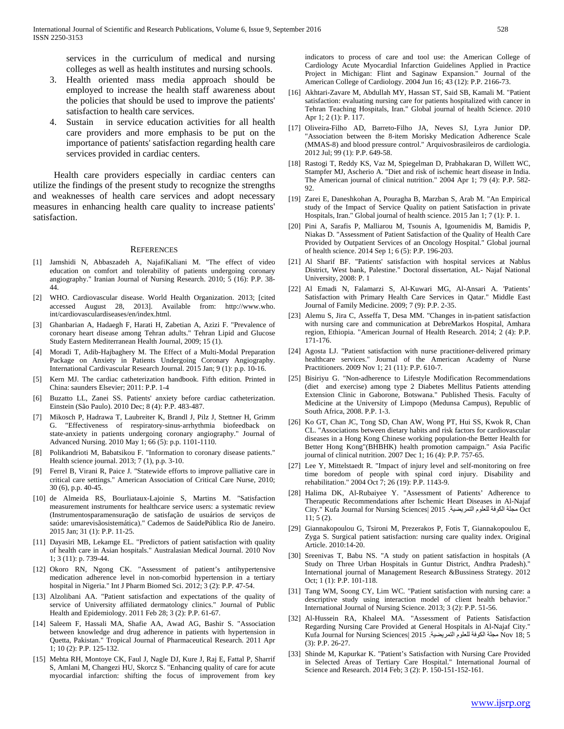services in the curriculum of medical and nursing colleges as well as health institutes and nursing schools.

- 3. Health oriented mass media approach should be employed to increase the health staff awareness about the policies that should be used to improve the patients' satisfaction to health care services.
- 4. Sustain in service education activities for all health care providers and more emphasis to be put on the importance of patients' satisfaction regarding health care services provided in cardiac centers.

 Health care providers especially in cardiac centers can utilize the findings of the present study to recognize the strengths and weaknesses of health care services and adopt necessary measures in enhancing health care quality to increase patients' satisfaction.

#### **REFERENCES**

- [1] Jamshidi N, Abbaszadeh A, NajafiKaliani M. "The effect of video education on comfort and tolerability of patients undergoing coronary angiography." Iranian Journal of Nursing Research. 2010; 5 (16): P.P. 38- 44.
- [2] WHO. Cardiovascular disease. World Health Organization. 2013; [cited accessed August 28, 2013]. Available from: http://www.who. int/cardiovasculardiseases/en/index.html.
- [3] Ghanbarian A, Hadaegh F, Harati H, Zabetian A, Azizi F. "Prevalence of coronary heart disease among Tehran adults." Tehran Lipid and Glucose Study Eastern Mediterranean Health Journal, 2009; 15 (1).
- [4] Moradi T, Adib-Hajbaghery M. The Effect of a Multi-Modal Preparation Package on Anxiety in Patients Undergoing Coronary Angiography. International Cardivascular Research Journal. 2015 Jan; 9 (1): p.p. 10-16.
- [5] Kern MJ. The cardiac catheterization handbook. Fifth edition. Printed in China: saunders Elsevier; 2011: P.P. 1-4
- [6] Buzatto LL, Zanei SS. Patients' anxiety before cardiac catheterization. Einstein (São Paulo). 2010 Dec; 8 (4): P.P. 483-487.
- [7] Mikosch P, Hadrawa T, Laubreiter K, Brandl J, Pilz J, Stettner H, Grimm G. "Effectiveness of respiratory‐sinus‐arrhythmia biofeedback on state‐anxiety in patients undergoing coronary angiography." Journal of Advanced Nursing. 2010 May 1; 66 (5): p.p. 1101-1110.
- [8] Polikandrioti M, Babatsikou F. "Information to coronary disease patients." Health science journal. 2013; 7 (1), p.p. 3-10.
- [9] Ferrel B, Virani R, Paice J. "Statewide efforts to improve palliative care in critical care settings." American Association of Critical Care Nurse, 2010; 30 (6), p.p. 40-45.
- [10] de Almeida RS, Bourliataux-Lajoinie S, Martins M. "Satisfaction measurement instruments for healthcare service users: a systematic review (Instrumentosparamensuração de satisfação de usuários de serviços de saúde: umarevisãosistemática)." Cademos de SaúdePública Rio de Janeiro. 2015 Jan; 31 (1): P.P. 11-25.
- [11] Dayasiri MB, Lekamge EL. "Predictors of patient satisfaction with quality of health care in Asian hospitals." Australasian Medical Journal. 2010 Nov 1; 3 (11): p. 739-44.
- [12] Okoro RN, Ngong CK. "Assessment of patient's antihypertensive medication adherence level in non-comorbid hypertension in a tertiary hospital in Nigeria." Int J Pharm Biomed Sci. 2012; 3 (2): P.P. 47-54.
- [13] Alzolibani AA. "Patient satisfaction and expectations of the quality of service of University affiliated dermatology clinics." Journal of Public Health and Epidemiology. 2011 Feb 28; 3 (2): P.P. 61-67.
- [14] Saleem F, Hassali MA, Shafie AA, Awad AG, Bashir S. "Association between knowledge and drug adherence in patients with hypertension in Quetta, Pakistan." Tropical Journal of Pharmaceutical Research. 2011 Apr 1; 10 (2): P.P. 125-132.
- [15] Mehta RH, Montoye CK, Faul J, Nagle DJ, Kure J, Raj E, Fattal P, Sharrif S, Amlani M, Changezi HU, Skorcz S. "Enhancing quality of care for acute myocardial infarction: shifting the focus of improvement from key

indicators to process of care and tool use: the American College of Cardiology Acute Myocardial Infarction Guidelines Applied in Practice Project in Michigan: Flint and Saginaw Expansion." Journal of the American College of Cardiology. 2004 Jun 16; 43 (12): P.P. 2166-73.

- [16] Akhtari-Zavare M, Abdullah MY, Hassan ST, Said SB, Kamali M. "Patient satisfaction: evaluating nursing care for patients hospitalized with cancer in Tehran Teaching Hospitals, Iran." Global journal of health Science. 2010 Apr 1; 2 (1): P. 117.
- [17] Oliveira-Filho AD, Barreto-Filho JA, Neves SJ, Lyra Junior DP. "Association between the 8-item Morisky Medication Adherence Scale (MMAS-8) and blood pressure control." Arquivosbrasileiros de cardiologia. 2012 Jul; 99 (1): P.P. 649-58.
- [18] Rastogi T, Reddy KS, Vaz M, Spiegelman D, Prabhakaran D, Willett WC, Stampfer MJ, Ascherio A. "Diet and risk of ischemic heart disease in India. The American journal of clinical nutrition." 2004 Apr 1; 79 (4): P.P. 582- 92.
- [19] Zarei E, Daneshkohan A, Pouragha B, Marzban S, Arab M. "An Empirical study of the Impact of Service Quality on patient Satisfaction in private Hospitals, Iran." Global journal of health science. 2015 Jan 1; 7 (1): P. 1.
- [20] Pini A, Sarafis P, Malliarou M, Tsounis A, Igoumenidis M, Bamidis P, Niakas D. "Assessment of Patient Satisfaction of the Quality of Health Care Provided by Outpatient Services of an Oncology Hospital." Global journal of health science. 2014 Sep 1; 6 (5): P.P. 196-203.
- [21] Al Sharif BF. "Patients' satisfaction with hospital services at Nablus District, West bank, Palestine." Doctoral dissertation, AL- Najaf National University, 2008: P. 1
- [22] Al Emadi N, Falamarzi S, Al-Kuwari MG, Al-Ansari A. 'Patients' Satisfaction with Primary Health Care Services in Qatar." Middle East Journal of Family Medicine. 2009; 7 (9): P.P. 2-35.
- [23] Alemu S, Jira C, Asseffa T, Desa MM. "Changes in in-patient satisfaction with nursing care and communication at DebreMarkos Hospital, Amhara region, Ethiopia. "American Journal of Health Research. 2014; 2 (4): P.P. 171-176.
- [24] Agosta LJ. "Patient satisfaction with nurse practitioner-delivered primary healthcare services." Journal of the American Academy of Nurse Practitioners. 2009 Nov 1; 21 (11): P.P. 610-7.
- [25] Bisiriyu G. "Non-adherence to Lifestyle Modification Recommendations (diet and exercise) among type 2 Diabetes Mellitus Patients attending Extension Clinic in Gaborone, Botswana." Published Thesis. Faculty of Medicine at the University of Limpopo (Medunsa Campus), Republic of South Africa, 2008. P.P. 1-3.
- [26] Ko GT, Chan JC, Tong SD, Chan AW, Wong PT, Hui SS, Kwok R, Chan CL. "Associations between dietary habits and risk factors for cardiovascular diseases in a Hong Kong Chinese working population-the Better Health for Better Hong Kong"(BHBHK) health promotion campaign." Asia Pacific journal of clinical nutrition. 2007 Dec 1; 16 (4): P.P. 757-65.
- [27] Lee Y, Mittelstaedt R. "Impact of injury level and self-monitoring on free time boredom of people with spinal cord injury. Disability and rehabilitation." 2004 Oct 7; 26 (19): P.P. 1143-9.
- [28] Halima DK, Al-Rubaiyee Y. "Assessment of Patients' Adherence to Therapeutic Recommendations after Ischemic Heart Diseases in Al-Najaf City." Kufa Journal for Nursing Sciences| 2015 .التمريضية للعلوم الكوفة مجلة Oct 11; 5 (2).
- [29] Giannakopoulou G, Tsironi M, Prezerakos P, Fotis T, Giannakopoulou E, Zyga S. Surgical patient satisfaction: nursing care quality index. Original Article. 2010:14-20.
- [30] Sreenivas T, Babu NS. "A study on patient satisfaction in hospitals (A Study on Three Urban Hospitals in Guntur District, Andhra Pradesh)." International journal of Management Research &Bussiness Strategy. 2012 Oct; 1 (1): P.P. 101-118.
- [31] Tang WM, Soong CY, Lim WC. "Patient satisfaction with nursing care: a descriptive study using interaction model of client health behavior." International Journal of Nursing Science. 2013; 3 (2): P.P. 51-56.
- [32] Al-Hussein RA, Khaleel MA. "Assessment of Patients Satisfaction Regarding Nursing Care Provided at General Hospitals in Al-Najaf City." Kufa Journal for Nursing Sciences| 2015 .التمريضية للعلوم الكوفة مجلة Nov 18; 5 (3): P.P. 26-27.
- [33] Shinde M, Kapurkar K. "Patient's Satisfaction with Nursing Care Provided in Selected Areas of Tertiary Care Hospital." International Journal of Science and Research. 2014 Feb; 3 (2): P. 150-151-152-161.